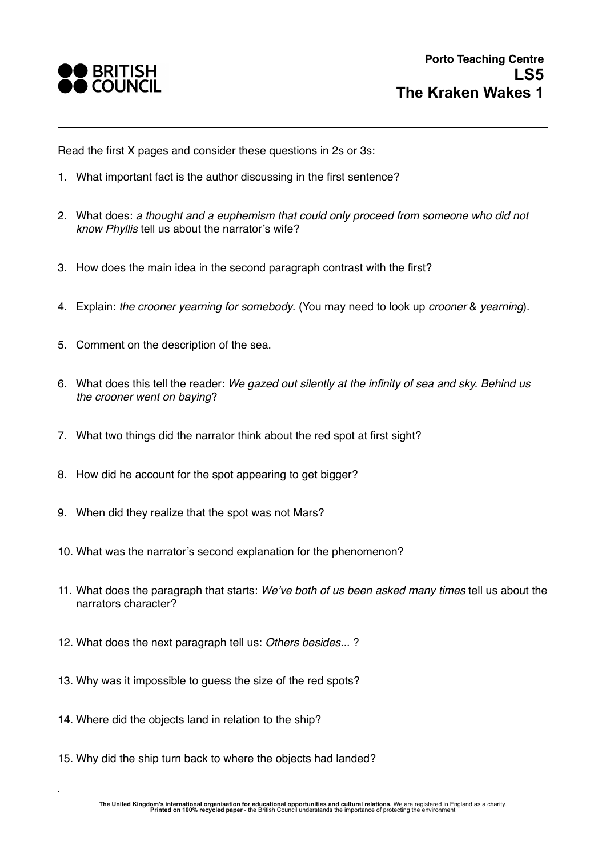

Read the first X pages and consider these questions in 2s or 3s:

- 1. What important fact is the author discussing in the first sentence?
- 2. What does: *a thought and a euphemism that could only proceed from someone who did not know Phyllis* tell us about the narrator's wife?
- 3. How does the main idea in the second paragraph contrast with the first?
- 4. Explain: *the crooner yearning for somebody*. (You may need to look up *crooner* & *yearning*).
- 5. Comment on the description of the sea.
- 6. What does this tell the reader: *We gazed out silently at the infinity of sea and sky. Behind us the crooner went on baying*?
- 7. What two things did the narrator think about the red spot at first sight?
- 8. How did he account for the spot appearing to get bigger?
- 9. When did they realize that the spot was not Mars?
- 10. What was the narrator's second explanation for the phenomenon?
- 11. What does the paragraph that starts: *We've both of us been asked many times* tell us about the narrators character?
- 12. What does the next paragraph tell us: *Others besides...* ?
- 13. Why was it impossible to guess the size of the red spots?
- 14. Where did the objects land in relation to the ship?
- 15. Why did the ship turn back to where the objects had landed?